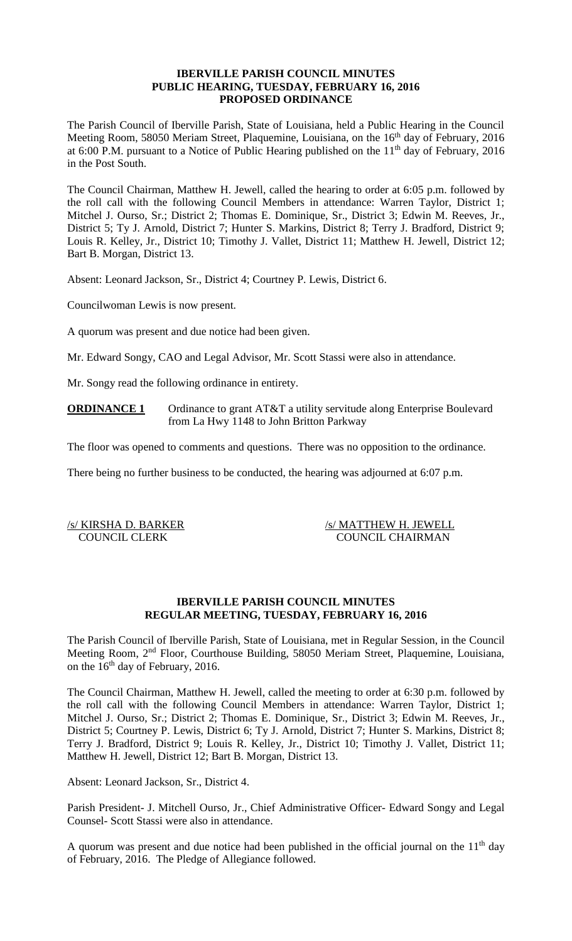## **IBERVILLE PARISH COUNCIL MINUTES PUBLIC HEARING, TUESDAY, FEBRUARY 16, 2016 PROPOSED ORDINANCE**

The Parish Council of Iberville Parish, State of Louisiana, held a Public Hearing in the Council Meeting Room, 58050 Meriam Street, Plaquemine, Louisiana, on the 16<sup>th</sup> day of February, 2016 at 6:00 P.M. pursuant to a Notice of Public Hearing published on the  $11<sup>th</sup>$  day of February, 2016 in the Post South.

The Council Chairman, Matthew H. Jewell, called the hearing to order at 6:05 p.m. followed by the roll call with the following Council Members in attendance: Warren Taylor, District 1; Mitchel J. Ourso, Sr.; District 2; Thomas E. Dominique, Sr., District 3; Edwin M. Reeves, Jr., District 5; Ty J. Arnold, District 7; Hunter S. Markins, District 8; Terry J. Bradford, District 9; Louis R. Kelley, Jr., District 10; Timothy J. Vallet, District 11; Matthew H. Jewell, District 12; Bart B. Morgan, District 13.

Absent: Leonard Jackson, Sr., District 4; Courtney P. Lewis, District 6.

Councilwoman Lewis is now present.

A quorum was present and due notice had been given.

Mr. Edward Songy, CAO and Legal Advisor, Mr. Scott Stassi were also in attendance.

Mr. Songy read the following ordinance in entirety.

**ORDINANCE 1** Ordinance to grant AT&T a utility servitude along Enterprise Boulevard from La Hwy 1148 to John Britton Parkway

The floor was opened to comments and questions. There was no opposition to the ordinance.

There being no further business to be conducted, the hearing was adjourned at 6:07 p.m.

/s/ KIRSHA D. BARKER /s/ MATTHEW H. JEWELL COUNCIL CLERK COUNCIL CHAIRMAN

### **IBERVILLE PARISH COUNCIL MINUTES REGULAR MEETING, TUESDAY, FEBRUARY 16, 2016**

The Parish Council of Iberville Parish, State of Louisiana, met in Regular Session, in the Council Meeting Room, 2nd Floor, Courthouse Building, 58050 Meriam Street, Plaquemine, Louisiana, on the  $16<sup>th</sup>$  day of February, 2016.

The Council Chairman, Matthew H. Jewell, called the meeting to order at 6:30 p.m. followed by the roll call with the following Council Members in attendance: Warren Taylor, District 1; Mitchel J. Ourso, Sr.; District 2; Thomas E. Dominique, Sr., District 3; Edwin M. Reeves, Jr., District 5; Courtney P. Lewis, District 6; Ty J. Arnold, District 7; Hunter S. Markins, District 8; Terry J. Bradford, District 9; Louis R. Kelley, Jr., District 10; Timothy J. Vallet, District 11; Matthew H. Jewell, District 12; Bart B. Morgan, District 13.

Absent: Leonard Jackson, Sr., District 4.

Parish President- J. Mitchell Ourso, Jr., Chief Administrative Officer- Edward Songy and Legal Counsel- Scott Stassi were also in attendance.

A quorum was present and due notice had been published in the official journal on the  $11<sup>th</sup>$  day of February, 2016. The Pledge of Allegiance followed.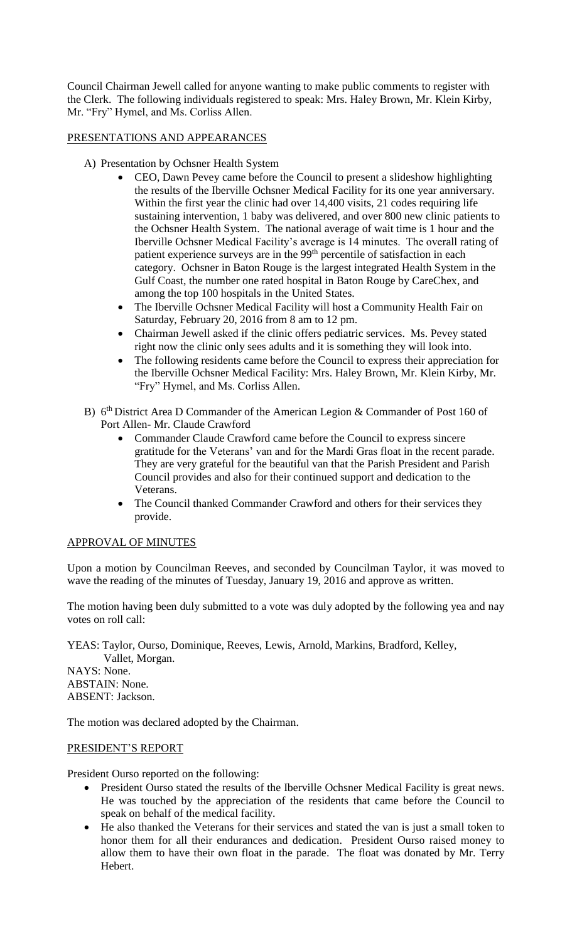Council Chairman Jewell called for anyone wanting to make public comments to register with the Clerk. The following individuals registered to speak: Mrs. Haley Brown, Mr. Klein Kirby, Mr. "Fry" Hymel, and Ms. Corliss Allen.

# PRESENTATIONS AND APPEARANCES

- A) Presentation by Ochsner Health System
	- CEO, Dawn Pevey came before the Council to present a slideshow highlighting the results of the Iberville Ochsner Medical Facility for its one year anniversary. Within the first year the clinic had over 14,400 visits, 21 codes requiring life sustaining intervention, 1 baby was delivered, and over 800 new clinic patients to the Ochsner Health System. The national average of wait time is 1 hour and the Iberville Ochsner Medical Facility's average is 14 minutes. The overall rating of patient experience surveys are in the 99<sup>th</sup> percentile of satisfaction in each category. Ochsner in Baton Rouge is the largest integrated Health System in the Gulf Coast, the number one rated hospital in Baton Rouge by CareChex, and among the top 100 hospitals in the United States.
	- The Iberville Ochsner Medical Facility will host a Community Health Fair on Saturday, February 20, 2016 from 8 am to 12 pm.
	- Chairman Jewell asked if the clinic offers pediatric services. Ms. Pevey stated right now the clinic only sees adults and it is something they will look into.
	- The following residents came before the Council to express their appreciation for the Iberville Ochsner Medical Facility: Mrs. Haley Brown, Mr. Klein Kirby, Mr. "Fry" Hymel, and Ms. Corliss Allen.
- B) 6<sup>th</sup> District Area D Commander of the American Legion & Commander of Post 160 of Port Allen- Mr. Claude Crawford
	- Commander Claude Crawford came before the Council to express sincere gratitude for the Veterans' van and for the Mardi Gras float in the recent parade. They are very grateful for the beautiful van that the Parish President and Parish Council provides and also for their continued support and dedication to the Veterans.
	- The Council thanked Commander Crawford and others for their services they provide.

## APPROVAL OF MINUTES

Upon a motion by Councilman Reeves, and seconded by Councilman Taylor, it was moved to wave the reading of the minutes of Tuesday, January 19, 2016 and approve as written.

The motion having been duly submitted to a vote was duly adopted by the following yea and nay votes on roll call:

YEAS: Taylor, Ourso, Dominique, Reeves, Lewis, Arnold, Markins, Bradford, Kelley, Vallet, Morgan.

NAYS: None. ABSTAIN: None. ABSENT: Jackson.

The motion was declared adopted by the Chairman.

## PRESIDENT'S REPORT

President Ourso reported on the following:

- President Ourso stated the results of the Iberville Ochsner Medical Facility is great news. He was touched by the appreciation of the residents that came before the Council to speak on behalf of the medical facility.
- He also thanked the Veterans for their services and stated the van is just a small token to honor them for all their endurances and dedication. President Ourso raised money to allow them to have their own float in the parade. The float was donated by Mr. Terry Hebert.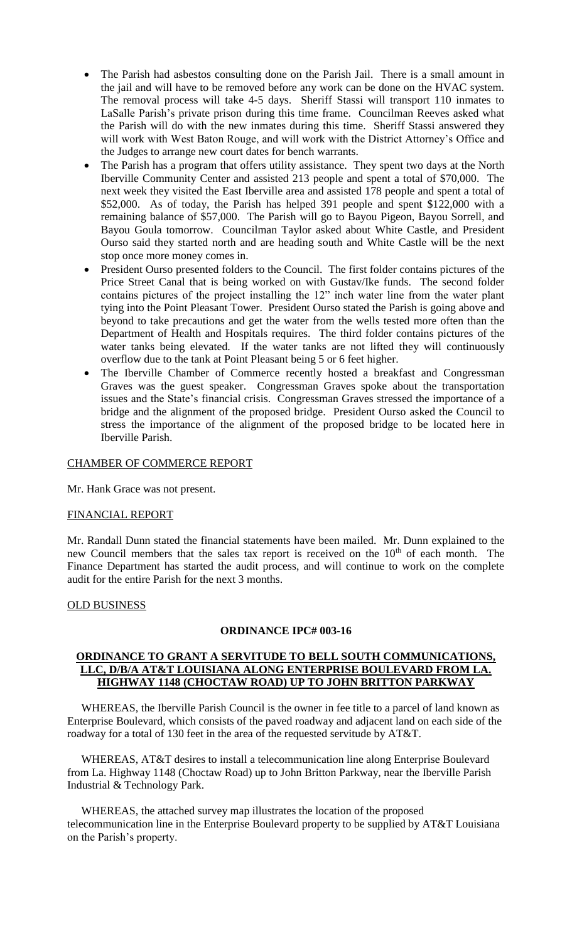- The Parish had asbestos consulting done on the Parish Jail. There is a small amount in the jail and will have to be removed before any work can be done on the HVAC system. The removal process will take 4-5 days. Sheriff Stassi will transport 110 inmates to LaSalle Parish's private prison during this time frame. Councilman Reeves asked what the Parish will do with the new inmates during this time. Sheriff Stassi answered they will work with West Baton Rouge, and will work with the District Attorney's Office and the Judges to arrange new court dates for bench warrants.
- The Parish has a program that offers utility assistance. They spent two days at the North Iberville Community Center and assisted 213 people and spent a total of \$70,000. The next week they visited the East Iberville area and assisted 178 people and spent a total of \$52,000. As of today, the Parish has helped 391 people and spent \$122,000 with a remaining balance of \$57,000. The Parish will go to Bayou Pigeon, Bayou Sorrell, and Bayou Goula tomorrow. Councilman Taylor asked about White Castle, and President Ourso said they started north and are heading south and White Castle will be the next stop once more money comes in.
- President Ourso presented folders to the Council. The first folder contains pictures of the Price Street Canal that is being worked on with Gustav/Ike funds. The second folder contains pictures of the project installing the 12" inch water line from the water plant tying into the Point Pleasant Tower. President Ourso stated the Parish is going above and beyond to take precautions and get the water from the wells tested more often than the Department of Health and Hospitals requires. The third folder contains pictures of the water tanks being elevated. If the water tanks are not lifted they will continuously overflow due to the tank at Point Pleasant being 5 or 6 feet higher.
- The Iberville Chamber of Commerce recently hosted a breakfast and Congressman Graves was the guest speaker. Congressman Graves spoke about the transportation issues and the State's financial crisis. Congressman Graves stressed the importance of a bridge and the alignment of the proposed bridge. President Ourso asked the Council to stress the importance of the alignment of the proposed bridge to be located here in Iberville Parish.

### CHAMBER OF COMMERCE REPORT

Mr. Hank Grace was not present.

### FINANCIAL REPORT

Mr. Randall Dunn stated the financial statements have been mailed. Mr. Dunn explained to the new Council members that the sales tax report is received on the 10<sup>th</sup> of each month. The Finance Department has started the audit process, and will continue to work on the complete audit for the entire Parish for the next 3 months.

## OLD BUSINESS

## **ORDINANCE IPC# 003-16**

## **ORDINANCE TO GRANT A SERVITUDE TO BELL SOUTH COMMUNICATIONS, LLC, D/B/A AT&T LOUISIANA ALONG ENTERPRISE BOULEVARD FROM LA. HIGHWAY 1148 (CHOCTAW ROAD) UP TO JOHN BRITTON PARKWAY**

 WHEREAS, the Iberville Parish Council is the owner in fee title to a parcel of land known as Enterprise Boulevard, which consists of the paved roadway and adjacent land on each side of the roadway for a total of 130 feet in the area of the requested servitude by AT&T.

 WHEREAS, AT&T desires to install a telecommunication line along Enterprise Boulevard from La. Highway 1148 (Choctaw Road) up to John Britton Parkway, near the Iberville Parish Industrial & Technology Park.

 WHEREAS, the attached survey map illustrates the location of the proposed telecommunication line in the Enterprise Boulevard property to be supplied by AT&T Louisiana on the Parish's property.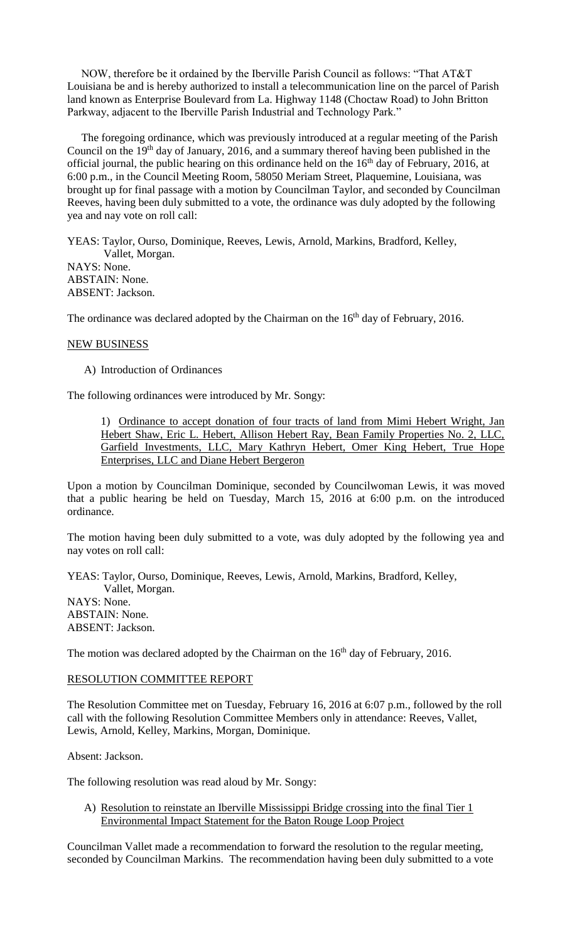NOW, therefore be it ordained by the Iberville Parish Council as follows: "That AT&T Louisiana be and is hereby authorized to install a telecommunication line on the parcel of Parish land known as Enterprise Boulevard from La. Highway 1148 (Choctaw Road) to John Britton Parkway, adjacent to the Iberville Parish Industrial and Technology Park."

 The foregoing ordinance, which was previously introduced at a regular meeting of the Parish Council on the  $19<sup>th</sup>$  day of January, 2016, and a summary thereof having been published in the official journal, the public hearing on this ordinance held on the  $16<sup>th</sup>$  day of February, 2016, at 6:00 p.m., in the Council Meeting Room, 58050 Meriam Street, Plaquemine, Louisiana, was brought up for final passage with a motion by Councilman Taylor, and seconded by Councilman Reeves, having been duly submitted to a vote, the ordinance was duly adopted by the following yea and nay vote on roll call:

YEAS: Taylor, Ourso, Dominique, Reeves, Lewis, Arnold, Markins, Bradford, Kelley, Vallet, Morgan. NAYS: None. ABSTAIN: None. ABSENT: Jackson.

The ordinance was declared adopted by the Chairman on the 16<sup>th</sup> day of February, 2016.

### NEW BUSINESS

A) Introduction of Ordinances

The following ordinances were introduced by Mr. Songy:

1) Ordinance to accept donation of four tracts of land from Mimi Hebert Wright, Jan Hebert Shaw, Eric L. Hebert, Allison Hebert Ray, Bean Family Properties No. 2, LLC, Garfield Investments, LLC, Mary Kathryn Hebert, Omer King Hebert, True Hope Enterprises, LLC and Diane Hebert Bergeron

Upon a motion by Councilman Dominique, seconded by Councilwoman Lewis, it was moved that a public hearing be held on Tuesday, March 15, 2016 at 6:00 p.m. on the introduced ordinance.

The motion having been duly submitted to a vote, was duly adopted by the following yea and nay votes on roll call:

YEAS: Taylor, Ourso, Dominique, Reeves, Lewis, Arnold, Markins, Bradford, Kelley, Vallet, Morgan. NAYS: None. ABSTAIN: None. ABSENT: Jackson.

The motion was declared adopted by the Chairman on the 16<sup>th</sup> day of February, 2016.

### RESOLUTION COMMITTEE REPORT

The Resolution Committee met on Tuesday, February 16, 2016 at 6:07 p.m., followed by the roll call with the following Resolution Committee Members only in attendance: Reeves, Vallet, Lewis, Arnold, Kelley, Markins, Morgan, Dominique.

Absent: Jackson.

The following resolution was read aloud by Mr. Songy:

A) Resolution to reinstate an Iberville Mississippi Bridge crossing into the final Tier 1 Environmental Impact Statement for the Baton Rouge Loop Project

Councilman Vallet made a recommendation to forward the resolution to the regular meeting, seconded by Councilman Markins. The recommendation having been duly submitted to a vote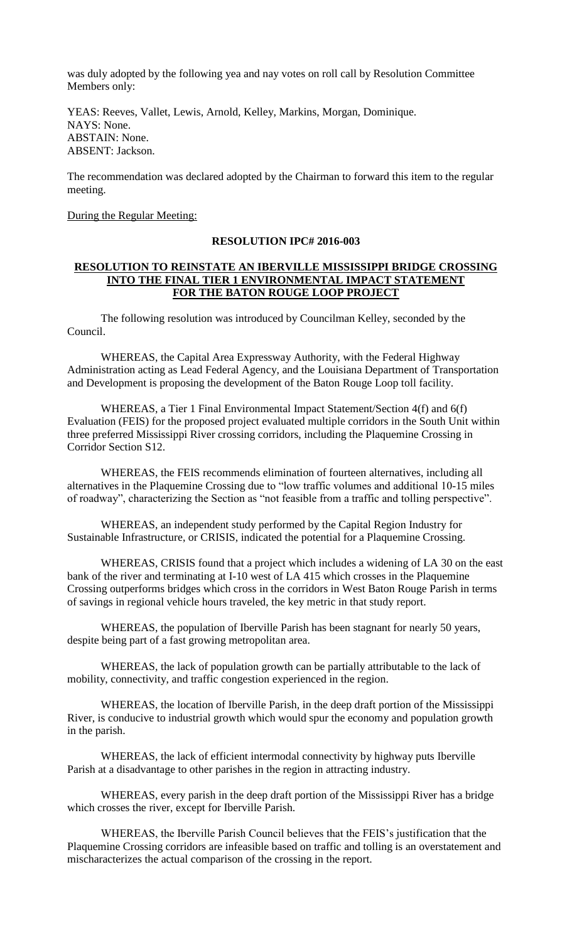was duly adopted by the following yea and nay votes on roll call by Resolution Committee Members only:

YEAS: Reeves, Vallet, Lewis, Arnold, Kelley, Markins, Morgan, Dominique. NAYS: None. ABSTAIN: None. ABSENT: Jackson.

The recommendation was declared adopted by the Chairman to forward this item to the regular meeting.

## During the Regular Meeting:

### **RESOLUTION IPC# 2016-003**

## **RESOLUTION TO REINSTATE AN IBERVILLE MISSISSIPPI BRIDGE CROSSING INTO THE FINAL TIER 1 ENVIRONMENTAL IMPACT STATEMENT FOR THE BATON ROUGE LOOP PROJECT**

 The following resolution was introduced by Councilman Kelley, seconded by the Council.

WHEREAS, the Capital Area Expressway Authority, with the Federal Highway Administration acting as Lead Federal Agency, and the Louisiana Department of Transportation and Development is proposing the development of the Baton Rouge Loop toll facility.

WHEREAS, a Tier 1 Final Environmental Impact Statement/Section 4(f) and 6(f) Evaluation (FEIS) for the proposed project evaluated multiple corridors in the South Unit within three preferred Mississippi River crossing corridors, including the Plaquemine Crossing in Corridor Section S12.

WHEREAS, the FEIS recommends elimination of fourteen alternatives, including all alternatives in the Plaquemine Crossing due to "low traffic volumes and additional 10-15 miles of roadway", characterizing the Section as "not feasible from a traffic and tolling perspective".

WHEREAS, an independent study performed by the Capital Region Industry for Sustainable Infrastructure, or CRISIS, indicated the potential for a Plaquemine Crossing.

WHEREAS, CRISIS found that a project which includes a widening of LA 30 on the east bank of the river and terminating at I-10 west of LA 415 which crosses in the Plaquemine Crossing outperforms bridges which cross in the corridors in West Baton Rouge Parish in terms of savings in regional vehicle hours traveled, the key metric in that study report.

WHEREAS, the population of Iberville Parish has been stagnant for nearly 50 years, despite being part of a fast growing metropolitan area.

WHEREAS, the lack of population growth can be partially attributable to the lack of mobility, connectivity, and traffic congestion experienced in the region.

WHEREAS, the location of Iberville Parish, in the deep draft portion of the Mississippi River, is conducive to industrial growth which would spur the economy and population growth in the parish.

WHEREAS, the lack of efficient intermodal connectivity by highway puts Iberville Parish at a disadvantage to other parishes in the region in attracting industry.

WHEREAS, every parish in the deep draft portion of the Mississippi River has a bridge which crosses the river, except for Iberville Parish.

WHEREAS, the Iberville Parish Council believes that the FEIS's justification that the Plaquemine Crossing corridors are infeasible based on traffic and tolling is an overstatement and mischaracterizes the actual comparison of the crossing in the report.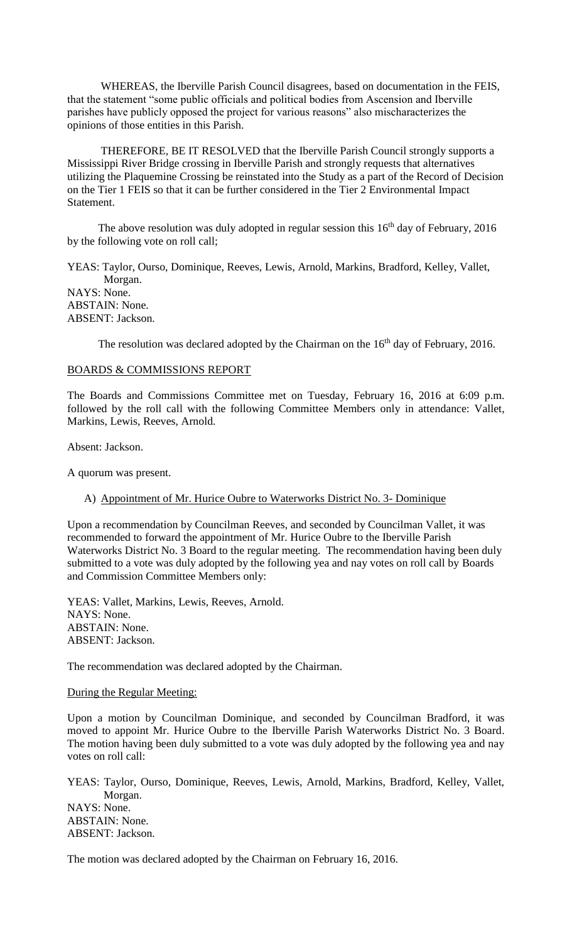WHEREAS, the Iberville Parish Council disagrees, based on documentation in the FEIS, that the statement "some public officials and political bodies from Ascension and Iberville parishes have publicly opposed the project for various reasons" also mischaracterizes the opinions of those entities in this Parish.

THEREFORE, BE IT RESOLVED that the Iberville Parish Council strongly supports a Mississippi River Bridge crossing in Iberville Parish and strongly requests that alternatives utilizing the Plaquemine Crossing be reinstated into the Study as a part of the Record of Decision on the Tier 1 FEIS so that it can be further considered in the Tier 2 Environmental Impact **Statement.** 

The above resolution was duly adopted in regular session this 16<sup>th</sup> day of February, 2016 by the following vote on roll call;

YEAS: Taylor, Ourso, Dominique, Reeves, Lewis, Arnold, Markins, Bradford, Kelley, Vallet, Morgan. NAYS: None. ABSTAIN: None. ABSENT: Jackson.

The resolution was declared adopted by the Chairman on the  $16<sup>th</sup>$  day of February, 2016.

### BOARDS & COMMISSIONS REPORT

The Boards and Commissions Committee met on Tuesday, February 16, 2016 at 6:09 p.m. followed by the roll call with the following Committee Members only in attendance: Vallet, Markins, Lewis, Reeves, Arnold.

Absent: Jackson.

A quorum was present.

A) Appointment of Mr. Hurice Oubre to Waterworks District No. 3- Dominique

Upon a recommendation by Councilman Reeves, and seconded by Councilman Vallet, it was recommended to forward the appointment of Mr. Hurice Oubre to the Iberville Parish Waterworks District No. 3 Board to the regular meeting. The recommendation having been duly submitted to a vote was duly adopted by the following yea and nay votes on roll call by Boards and Commission Committee Members only:

YEAS: Vallet, Markins, Lewis, Reeves, Arnold. NAYS: None. ABSTAIN: None. ABSENT: Jackson.

The recommendation was declared adopted by the Chairman.

#### During the Regular Meeting:

Upon a motion by Councilman Dominique, and seconded by Councilman Bradford, it was moved to appoint Mr. Hurice Oubre to the Iberville Parish Waterworks District No. 3 Board. The motion having been duly submitted to a vote was duly adopted by the following yea and nay votes on roll call:

YEAS: Taylor, Ourso, Dominique, Reeves, Lewis, Arnold, Markins, Bradford, Kelley, Vallet, Morgan. NAYS: None. ABSTAIN: None. ABSENT: Jackson.

The motion was declared adopted by the Chairman on February 16, 2016.